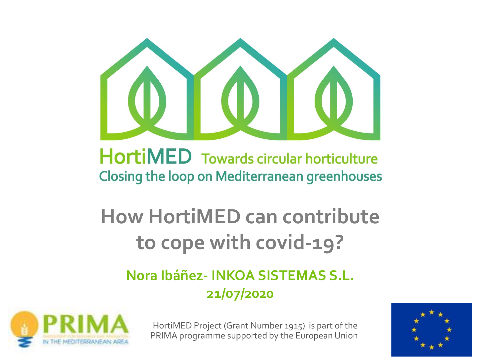

## **HortiMED** Towards circular horticulture **Closing the loop on Mediterranean greenhouses**

# **How HortiMED can contribute to cope with covid-19?**

### **Nora Ibáñez- INKOA SISTEMAS S.L. 21/07/2020**



HortiMED Project (Grant Number 1915) is part of the PRIMA programme supported by the European Union

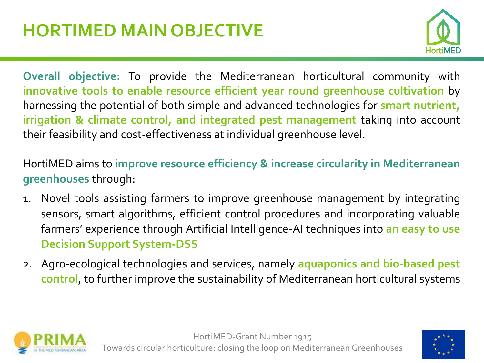

**Overall objective:** To provide the Mediterranean horticultural community with **innovative tools to enable resource efficient year round greenhouse cultivation** by harnessing the potential of both simple and advanced technologies for **smart nutrient, irrigation & climate control, and integrated pest management** taking into account their feasibility and cost-effectiveness at individual greenhouse level.

HortiMED aims to **improve resource efficiency & increase circularity in Mediterranean greenhouses** through:

- 1. Novel tools assisting farmers to improve greenhouse management by integrating sensors, smart algorithms, efficient control procedures and incorporating valuable farmers' experience through Artificial Intelligence-AI techniques into **an easy to use Decision Support System-DSS**
- 2. Agro-ecological technologies and services, namely **aquaponics and bio-based pest control**, to further improve the sustainability of Mediterranean horticultural systems



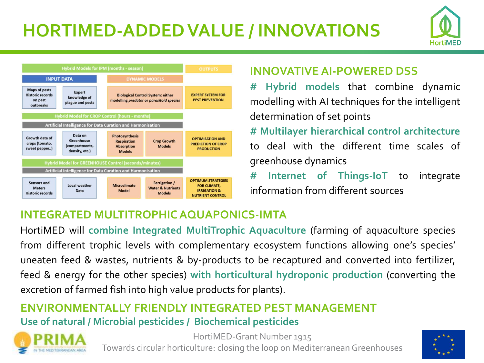## **HORTIMED-ADDED VALUE / INNOVATIONS**





#### **INNOVATIVE AI-POWERED DSS**

**# Hybrid models** that combine dynamic modelling with AI techniques for the intelligent determination of set points

**# Multilayer hierarchical control architecture** to deal with the different time scales of greenhouse dynamics

**# Internet of Things-IoT** to integrate information from different sources

#### **INTEGRATED MULTITROPHICAQUAPONICS-IMTA**

HortiMED will **combine Integrated MultiTrophic Aquaculture** (farming of aquaculture species from different trophic levels with complementary ecosystem functions allowing one's species' uneaten feed & wastes, nutrients & by-products to be recaptured and converted into fertilizer, feed & energy for the other species) **with horticultural hydroponic production** (converting the excretion of farmed fish into high value products for plants).

#### **ENVIRONMENTALLY FRIENDLY INTEGRATED PEST MANAGEMENT Use of natural / Microbial pesticides / Biochemical pesticides**



HortiMED-Grant Number 1915 Towards circular horticulture: closing the loop on Mediterranean Greenhouses

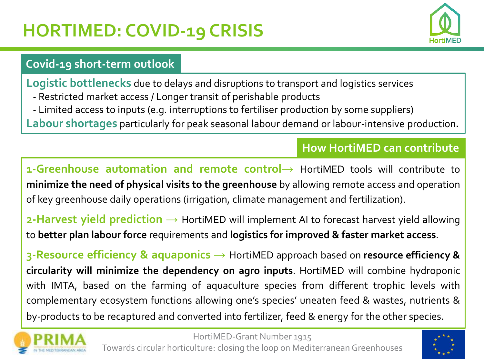## **HORTIMED: COVID-19 CRISIS**



#### **Covid-19 short-term outlook**

**Logistic bottlenecks** due to delays and disruptions to transport and logistics services

- Restricted market access / Longer transit of perishable products
- Limited access to inputs (e.g. interruptions to fertiliser production by some suppliers)
- **Labour shortages** particularly for peak seasonal labour demand or labour-intensive production**.**

#### **How HortiMED can contribute**

**1-Greenhouse automation and remote control→** HortiMED tools will contribute to **minimize the need of physical visits to the greenhouse** by allowing remote access and operation of key greenhouse daily operations (irrigation, climate management and fertilization).

**2-Harvest yield prediction** → HortiMED will implement AI to forecast harvest yield allowing to **better plan labour force** requirements and **logistics for improved & faster market access**.

**3-Resource efficiency & aquaponics →** HortiMED approach based on **resource efficiency & circularity will minimize the dependency on agro inputs**. HortiMED will combine hydroponic with IMTA, based on the farming of aquaculture species from different trophic levels with complementary ecosystem functions allowing one's species' uneaten feed & wastes, nutrients & by-products to be recaptured and converted into fertilizer, feed & energy for the other species.